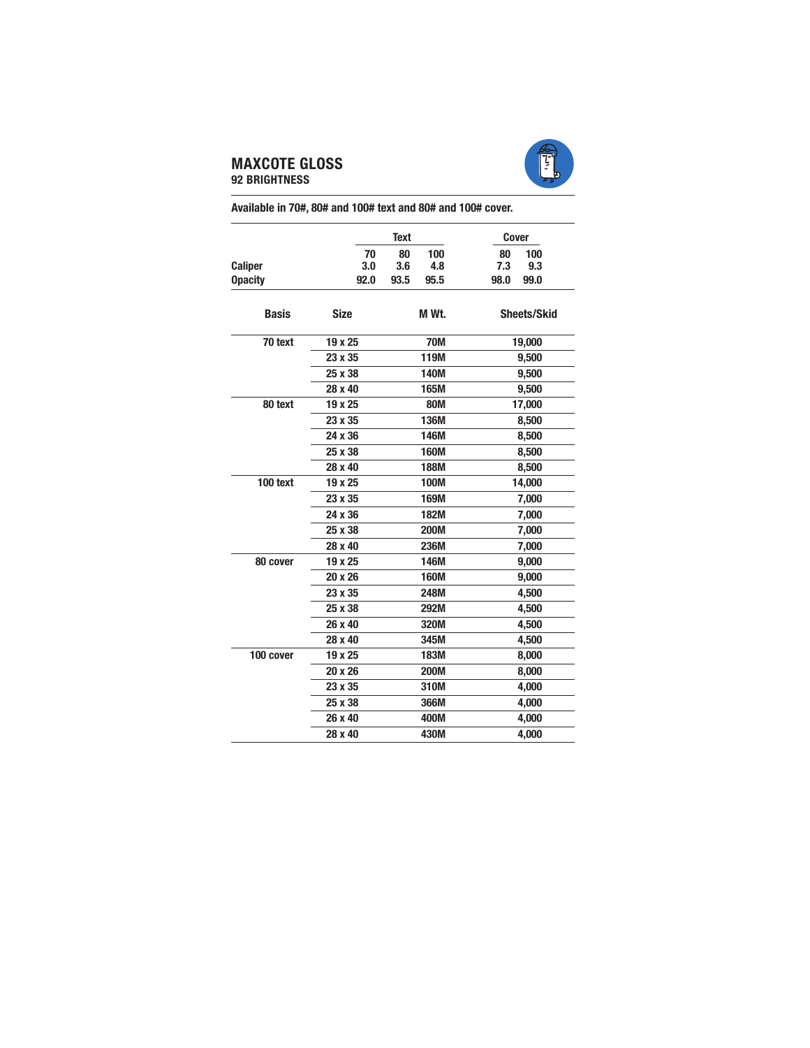## MAXCOTE GLOSS 92 BRIGHTNESS



Available in 70#, 80# and 100# text and 80# and 100# cover.

|                | <b>Text</b> |             |                             | <b>Cover</b> |             |
|----------------|-------------|-------------|-----------------------------|--------------|-------------|
|                | 70          | 80          | 100                         | 80           | 100         |
| <b>Caliper</b> | 3.0<br>92.0 | 3.6<br>93.5 | 4.8<br>95.5                 | 7.3<br>98.0  | 9.3<br>99.0 |
| <b>Opacity</b> |             |             |                             |              |             |
| <b>Basis</b>   | <b>Size</b> |             | M Wt.<br><b>Sheets/Skid</b> |              |             |
| 70 text        | 19 x 25     |             | <b>70M</b>                  | 19,000       |             |
|                | 23 x 35     |             | 119M                        | 9,500        |             |
|                | 25 x 38     |             | 140M                        | 9,500        |             |
|                | 28 x 40     |             | 165M                        | 9,500        |             |
| 80 text        | 19 x 25     |             | <b>80M</b>                  | 17,000       |             |
|                | 23 x 35     |             | 136M                        | 8,500        |             |
|                | 24 x 36     |             | 146M                        | 8,500        |             |
|                | 25 x 38     |             | <b>160M</b>                 | 8,500        |             |
|                | 28 x 40     |             | <b>188M</b>                 | 8,500        |             |
| 100 text       | 19 x 25     |             | 100M                        | 14,000       |             |
|                | 23 x 35     |             | 169M                        | 7,000        |             |
|                | 24 x 36     |             | <b>182M</b>                 | 7,000        |             |
|                | 25 x 38     | <b>200M</b> |                             | 7,000        |             |
|                | 28 x 40     |             | 236M                        |              | 7,000       |
| 80 cover       | 19 x 25     |             | 146M                        | 9,000        |             |
|                | 20 x 26     |             | <b>160M</b>                 | 9,000        |             |
|                | 23 x 35     |             | 248M                        | 4,500        |             |
|                | 25 x 38     |             | <b>292M</b>                 | 4,500        |             |
|                | 26 x 40     |             | 320M                        | 4,500        |             |
|                | 28 x 40     |             | 345M                        | 4,500        |             |
| 100 cover      | 19 x 25     |             | 183M                        | 8,000        |             |
|                | 20 x 26     |             | <b>200M</b>                 |              | 8,000       |
|                | 23 x 35     |             | 310M                        | 4,000        |             |
|                | 25 x 38     |             | 366M                        | 4,000        |             |
|                | 26 x 40     |             | 400M                        | 4,000        |             |
|                | 28 x 40     |             | 430M                        | 4,000        |             |